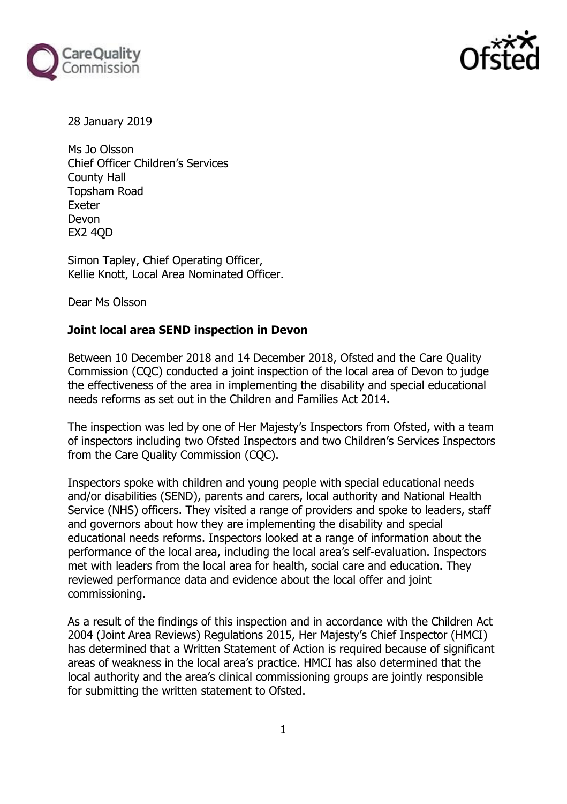



28 January 2019

Ms Jo Olsson Chief Officer Children's Services County Hall Topsham Road Exeter Devon EX2 4QD

Simon Tapley, Chief Operating Officer, Kellie Knott, Local Area Nominated Officer.

Dear Ms Olsson

#### **Joint local area SEND inspection in Devon**

Between 10 December 2018 and 14 December 2018, Ofsted and the Care Quality Commission (CQC) conducted a joint inspection of the local area of Devon to judge the effectiveness of the area in implementing the disability and special educational needs reforms as set out in the Children and Families Act 2014.

The inspection was led by one of Her Majesty's Inspectors from Ofsted, with a team of inspectors including two Ofsted Inspectors and two Children's Services Inspectors from the Care Quality Commission (CQC).

Inspectors spoke with children and young people with special educational needs and/or disabilities (SEND), parents and carers, local authority and National Health Service (NHS) officers. They visited a range of providers and spoke to leaders, staff and governors about how they are implementing the disability and special educational needs reforms. Inspectors looked at a range of information about the performance of the local area, including the local area's self-evaluation. Inspectors met with leaders from the local area for health, social care and education. They reviewed performance data and evidence about the local offer and joint commissioning.

As a result of the findings of this inspection and in accordance with the Children Act 2004 (Joint Area Reviews) Regulations 2015, Her Majesty's Chief Inspector (HMCI) has determined that a Written Statement of Action is required because of significant areas of weakness in the local area's practice. HMCI has also determined that the local authority and the area's clinical commissioning groups are jointly responsible for submitting the written statement to Ofsted.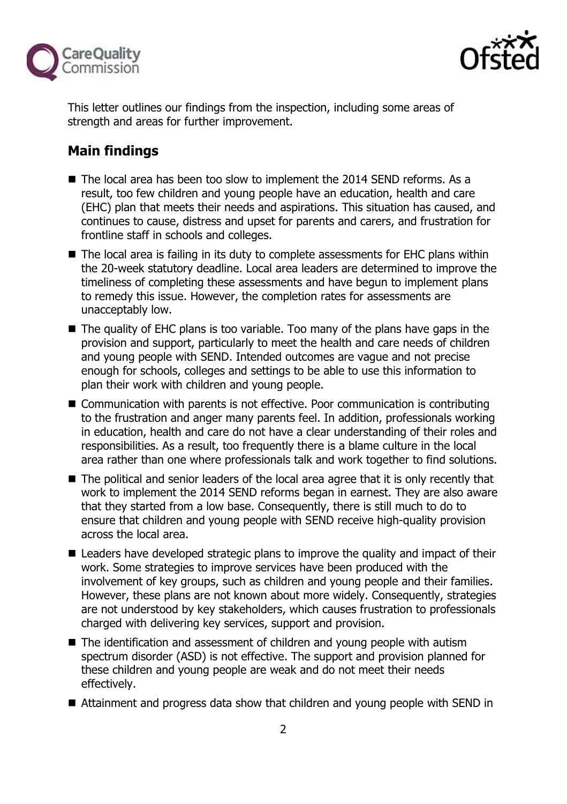



This letter outlines our findings from the inspection, including some areas of strength and areas for further improvement.

# **Main findings**

- The local area has been too slow to implement the 2014 SEND reforms. As a result, too few children and young people have an education, health and care (EHC) plan that meets their needs and aspirations. This situation has caused, and continues to cause, distress and upset for parents and carers, and frustration for frontline staff in schools and colleges.
- The local area is failing in its duty to complete assessments for EHC plans within the 20-week statutory deadline. Local area leaders are determined to improve the timeliness of completing these assessments and have begun to implement plans to remedy this issue. However, the completion rates for assessments are unacceptably low.
- The quality of EHC plans is too variable. Too many of the plans have gaps in the provision and support, particularly to meet the health and care needs of children and young people with SEND. Intended outcomes are vague and not precise enough for schools, colleges and settings to be able to use this information to plan their work with children and young people.
- Communication with parents is not effective. Poor communication is contributing to the frustration and anger many parents feel. In addition, professionals working in education, health and care do not have a clear understanding of their roles and responsibilities. As a result, too frequently there is a blame culture in the local area rather than one where professionals talk and work together to find solutions.
- The political and senior leaders of the local area agree that it is only recently that work to implement the 2014 SEND reforms began in earnest. They are also aware that they started from a low base. Consequently, there is still much to do to ensure that children and young people with SEND receive high-quality provision across the local area.
- Leaders have developed strategic plans to improve the quality and impact of their work. Some strategies to improve services have been produced with the involvement of key groups, such as children and young people and their families. However, these plans are not known about more widely. Consequently, strategies are not understood by key stakeholders, which causes frustration to professionals charged with delivering key services, support and provision.
- The identification and assessment of children and young people with autism spectrum disorder (ASD) is not effective. The support and provision planned for these children and young people are weak and do not meet their needs effectively.
- Attainment and progress data show that children and young people with SEND in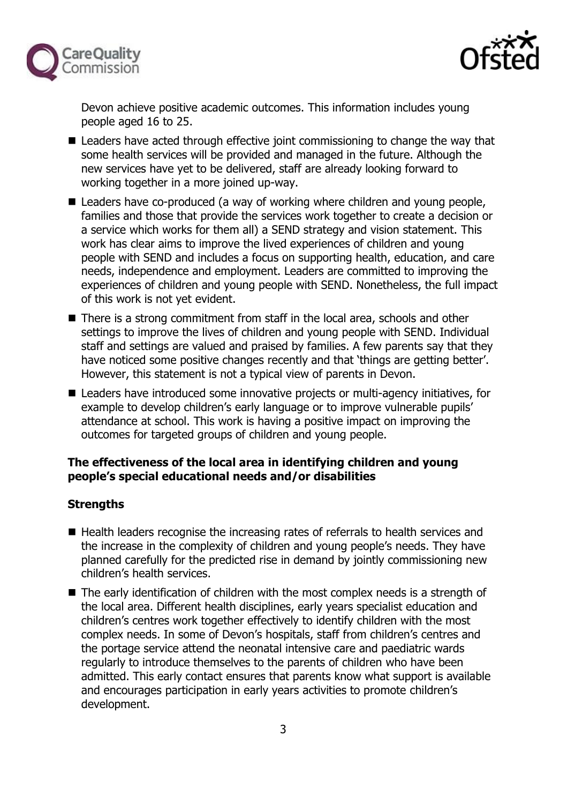



Devon achieve positive academic outcomes. This information includes young people aged 16 to 25.

- Leaders have acted through effective joint commissioning to change the way that some health services will be provided and managed in the future. Although the new services have yet to be delivered, staff are already looking forward to working together in a more joined up-way.
- Leaders have co-produced (a way of working where children and young people, families and those that provide the services work together to create a decision or a service which works for them all) a SEND strategy and vision statement. This work has clear aims to improve the lived experiences of children and young people with SEND and includes a focus on supporting health, education, and care needs, independence and employment. Leaders are committed to improving the experiences of children and young people with SEND. Nonetheless, the full impact of this work is not yet evident.
- There is a strong commitment from staff in the local area, schools and other settings to improve the lives of children and young people with SEND. Individual staff and settings are valued and praised by families. A few parents say that they have noticed some positive changes recently and that 'things are getting better'. However, this statement is not a typical view of parents in Devon.
- Leaders have introduced some innovative projects or multi-agency initiatives, for example to develop children's early language or to improve vulnerable pupils' attendance at school. This work is having a positive impact on improving the outcomes for targeted groups of children and young people.

## **The effectiveness of the local area in identifying children and young people's special educational needs and/or disabilities**

## **Strengths**

- Health leaders recognise the increasing rates of referrals to health services and the increase in the complexity of children and young people's needs. They have planned carefully for the predicted rise in demand by jointly commissioning new children's health services.
- The early identification of children with the most complex needs is a strength of the local area. Different health disciplines, early years specialist education and children's centres work together effectively to identify children with the most complex needs. In some of Devon's hospitals, staff from children's centres and the portage service attend the neonatal intensive care and paediatric wards regularly to introduce themselves to the parents of children who have been admitted. This early contact ensures that parents know what support is available and encourages participation in early years activities to promote children's development.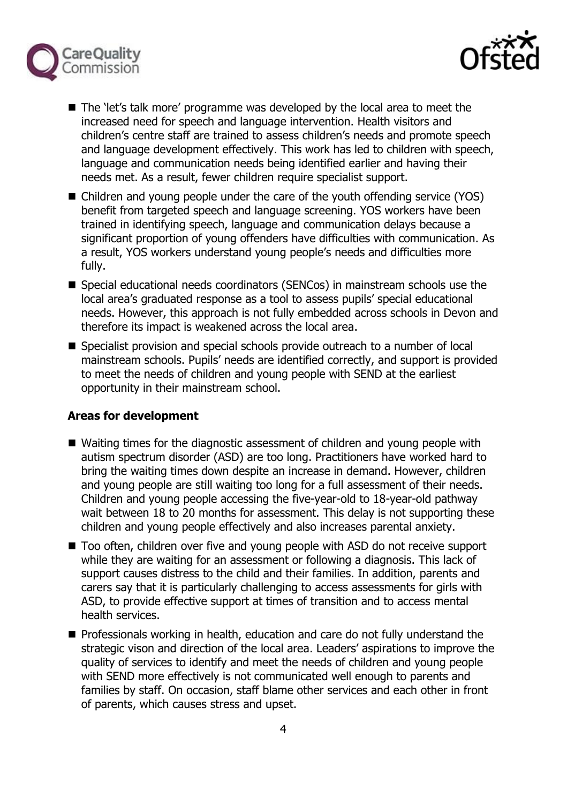



- The 'let's talk more' programme was developed by the local area to meet the increased need for speech and language intervention. Health visitors and children's centre staff are trained to assess children's needs and promote speech and language development effectively. This work has led to children with speech, language and communication needs being identified earlier and having their needs met. As a result, fewer children require specialist support.
- Children and young people under the care of the youth offending service (YOS) benefit from targeted speech and language screening. YOS workers have been trained in identifying speech, language and communication delays because a significant proportion of young offenders have difficulties with communication. As a result, YOS workers understand young people's needs and difficulties more fully.
- Special educational needs coordinators (SENCos) in mainstream schools use the local area's graduated response as a tool to assess pupils' special educational needs. However, this approach is not fully embedded across schools in Devon and therefore its impact is weakened across the local area.
- Specialist provision and special schools provide outreach to a number of local mainstream schools. Pupils' needs are identified correctly, and support is provided to meet the needs of children and young people with SEND at the earliest opportunity in their mainstream school.

## **Areas for development**

- Waiting times for the diagnostic assessment of children and young people with autism spectrum disorder (ASD) are too long. Practitioners have worked hard to bring the waiting times down despite an increase in demand. However, children and young people are still waiting too long for a full assessment of their needs. Children and young people accessing the five-year-old to 18-year-old pathway wait between 18 to 20 months for assessment. This delay is not supporting these children and young people effectively and also increases parental anxiety.
- Too often, children over five and young people with ASD do not receive support while they are waiting for an assessment or following a diagnosis. This lack of support causes distress to the child and their families. In addition, parents and carers say that it is particularly challenging to access assessments for girls with ASD, to provide effective support at times of transition and to access mental health services.
- **Professionals working in health, education and care do not fully understand the** strategic vison and direction of the local area. Leaders' aspirations to improve the quality of services to identify and meet the needs of children and young people with SEND more effectively is not communicated well enough to parents and families by staff. On occasion, staff blame other services and each other in front of parents, which causes stress and upset.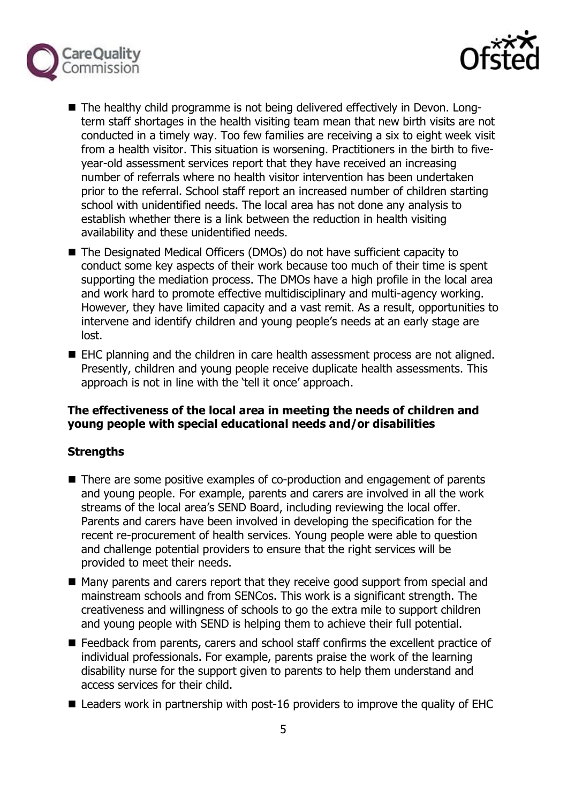



- The healthy child programme is not being delivered effectively in Devon. Longterm staff shortages in the health visiting team mean that new birth visits are not conducted in a timely way. Too few families are receiving a six to eight week visit from a health visitor. This situation is worsening. Practitioners in the birth to fiveyear-old assessment services report that they have received an increasing number of referrals where no health visitor intervention has been undertaken prior to the referral. School staff report an increased number of children starting school with unidentified needs. The local area has not done any analysis to establish whether there is a link between the reduction in health visiting availability and these unidentified needs.
- The Designated Medical Officers (DMOs) do not have sufficient capacity to conduct some key aspects of their work because too much of their time is spent supporting the mediation process. The DMOs have a high profile in the local area and work hard to promote effective multidisciplinary and multi-agency working. However, they have limited capacity and a vast remit. As a result, opportunities to intervene and identify children and young people's needs at an early stage are lost.
- EHC planning and the children in care health assessment process are not aligned. Presently, children and young people receive duplicate health assessments. This approach is not in line with the 'tell it once' approach.

#### **The effectiveness of the local area in meeting the needs of children and young people with special educational needs and/or disabilities**

## **Strengths**

- There are some positive examples of co-production and engagement of parents and young people. For example, parents and carers are involved in all the work streams of the local area's SEND Board, including reviewing the local offer. Parents and carers have been involved in developing the specification for the recent re-procurement of health services. Young people were able to question and challenge potential providers to ensure that the right services will be provided to meet their needs.
- Many parents and carers report that they receive good support from special and mainstream schools and from SENCos. This work is a significant strength. The creativeness and willingness of schools to go the extra mile to support children and young people with SEND is helping them to achieve their full potential.
- E Feedback from parents, carers and school staff confirms the excellent practice of individual professionals. For example, parents praise the work of the learning disability nurse for the support given to parents to help them understand and access services for their child.
- $\blacksquare$  Leaders work in partnership with post-16 providers to improve the quality of EHC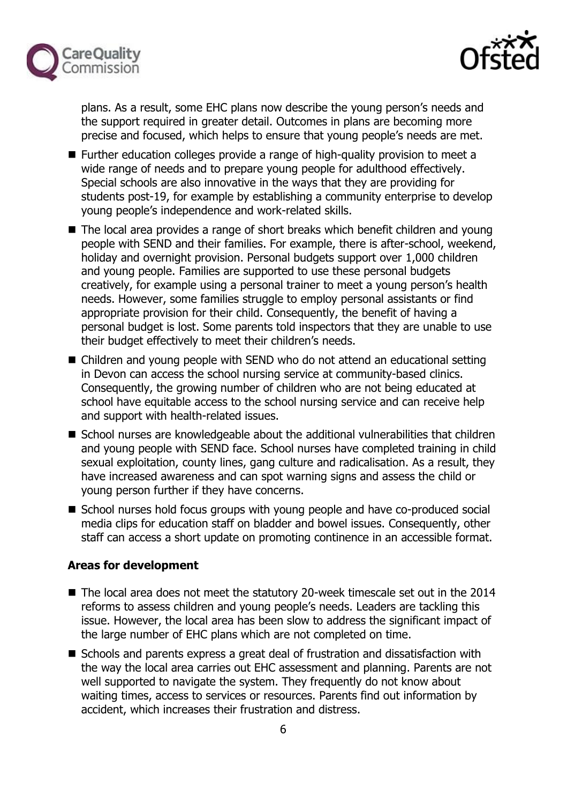



plans. As a result, some EHC plans now describe the young person's needs and the support required in greater detail. Outcomes in plans are becoming more precise and focused, which helps to ensure that young people's needs are met.

- **Further education colleges provide a range of high-quality provision to meet a** wide range of needs and to prepare young people for adulthood effectively. Special schools are also innovative in the ways that they are providing for students post-19, for example by establishing a community enterprise to develop young people's independence and work-related skills.
- The local area provides a range of short breaks which benefit children and young people with SEND and their families. For example, there is after-school, weekend, holiday and overnight provision. Personal budgets support over 1,000 children and young people. Families are supported to use these personal budgets creatively, for example using a personal trainer to meet a young person's health needs. However, some families struggle to employ personal assistants or find appropriate provision for their child. Consequently, the benefit of having a personal budget is lost. Some parents told inspectors that they are unable to use their budget effectively to meet their children's needs.
- Children and young people with SEND who do not attend an educational setting in Devon can access the school nursing service at community-based clinics. Consequently, the growing number of children who are not being educated at school have equitable access to the school nursing service and can receive help and support with health-related issues.
- School nurses are knowledgeable about the additional vulnerabilities that children and young people with SEND face. School nurses have completed training in child sexual exploitation, county lines, gang culture and radicalisation. As a result, they have increased awareness and can spot warning signs and assess the child or young person further if they have concerns.
- School nurses hold focus groups with young people and have co-produced social media clips for education staff on bladder and bowel issues. Consequently, other staff can access a short update on promoting continence in an accessible format.

## **Areas for development**

- The local area does not meet the statutory 20-week timescale set out in the 2014 reforms to assess children and young people's needs. Leaders are tackling this issue. However, the local area has been slow to address the significant impact of the large number of EHC plans which are not completed on time.
- Schools and parents express a great deal of frustration and dissatisfaction with the way the local area carries out EHC assessment and planning. Parents are not well supported to navigate the system. They frequently do not know about waiting times, access to services or resources. Parents find out information by accident, which increases their frustration and distress.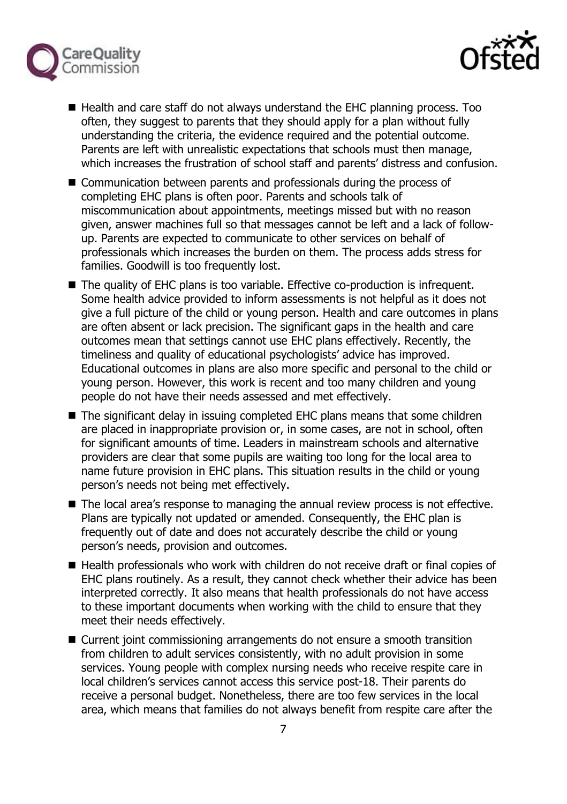



- Health and care staff do not always understand the EHC planning process. Too often, they suggest to parents that they should apply for a plan without fully understanding the criteria, the evidence required and the potential outcome. Parents are left with unrealistic expectations that schools must then manage, which increases the frustration of school staff and parents' distress and confusion.
- Communication between parents and professionals during the process of completing EHC plans is often poor. Parents and schools talk of miscommunication about appointments, meetings missed but with no reason given, answer machines full so that messages cannot be left and a lack of followup. Parents are expected to communicate to other services on behalf of professionals which increases the burden on them. The process adds stress for families. Goodwill is too frequently lost.
- The quality of EHC plans is too variable. Effective co-production is infrequent. Some health advice provided to inform assessments is not helpful as it does not give a full picture of the child or young person. Health and care outcomes in plans are often absent or lack precision. The significant gaps in the health and care outcomes mean that settings cannot use EHC plans effectively. Recently, the timeliness and quality of educational psychologists' advice has improved. Educational outcomes in plans are also more specific and personal to the child or young person. However, this work is recent and too many children and young people do not have their needs assessed and met effectively.
- The significant delay in issuing completed EHC plans means that some children are placed in inappropriate provision or, in some cases, are not in school, often for significant amounts of time. Leaders in mainstream schools and alternative providers are clear that some pupils are waiting too long for the local area to name future provision in EHC plans. This situation results in the child or young person's needs not being met effectively.
- The local area's response to managing the annual review process is not effective. Plans are typically not updated or amended. Consequently, the EHC plan is frequently out of date and does not accurately describe the child or young person's needs, provision and outcomes.
- Health professionals who work with children do not receive draft or final copies of EHC plans routinely. As a result, they cannot check whether their advice has been interpreted correctly. It also means that health professionals do not have access to these important documents when working with the child to ensure that they meet their needs effectively.
- Current joint commissioning arrangements do not ensure a smooth transition from children to adult services consistently, with no adult provision in some services. Young people with complex nursing needs who receive respite care in local children's services cannot access this service post-18. Their parents do receive a personal budget. Nonetheless, there are too few services in the local area, which means that families do not always benefit from respite care after the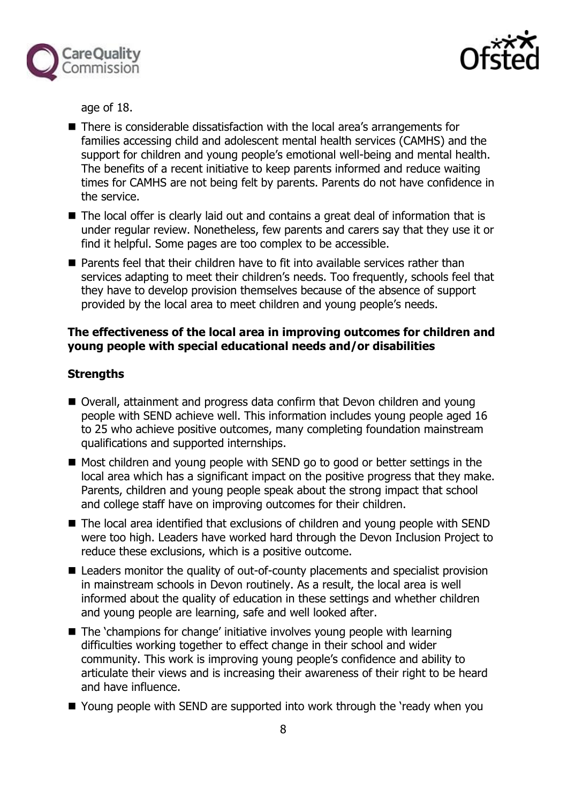



age of 18.

- There is considerable dissatisfaction with the local area's arrangements for families accessing child and adolescent mental health services (CAMHS) and the support for children and young people's emotional well-being and mental health. The benefits of a recent initiative to keep parents informed and reduce waiting times for CAMHS are not being felt by parents. Parents do not have confidence in the service.
- The local offer is clearly laid out and contains a great deal of information that is under regular review. Nonetheless, few parents and carers say that they use it or find it helpful. Some pages are too complex to be accessible.
- **Parents feel that their children have to fit into available services rather than** services adapting to meet their children's needs. Too frequently, schools feel that they have to develop provision themselves because of the absence of support provided by the local area to meet children and young people's needs.

#### **The effectiveness of the local area in improving outcomes for children and young people with special educational needs and/or disabilities**

#### **Strengths**

- Overall, attainment and progress data confirm that Devon children and young people with SEND achieve well. This information includes young people aged 16 to 25 who achieve positive outcomes, many completing foundation mainstream qualifications and supported internships.
- Most children and young people with SEND go to good or better settings in the local area which has a significant impact on the positive progress that they make. Parents, children and young people speak about the strong impact that school and college staff have on improving outcomes for their children.
- The local area identified that exclusions of children and young people with SEND were too high. Leaders have worked hard through the Devon Inclusion Project to reduce these exclusions, which is a positive outcome.
- Leaders monitor the quality of out-of-county placements and specialist provision in mainstream schools in Devon routinely. As a result, the local area is well informed about the quality of education in these settings and whether children and young people are learning, safe and well looked after.
- The 'champions for change' initiative involves young people with learning difficulties working together to effect change in their school and wider community. This work is improving young people's confidence and ability to articulate their views and is increasing their awareness of their right to be heard and have influence.
- Young people with SEND are supported into work through the 'ready when you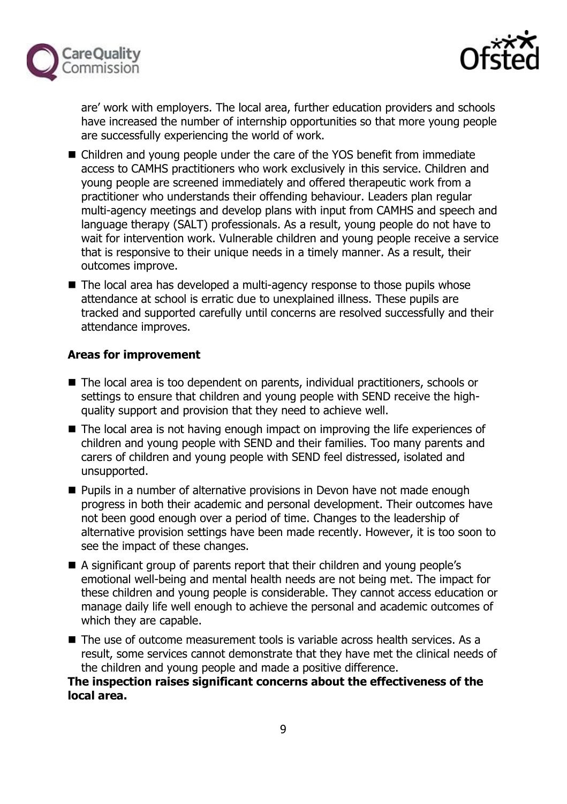



are' work with employers. The local area, further education providers and schools have increased the number of internship opportunities so that more young people are successfully experiencing the world of work.

- Children and young people under the care of the YOS benefit from immediate access to CAMHS practitioners who work exclusively in this service. Children and young people are screened immediately and offered therapeutic work from a practitioner who understands their offending behaviour. Leaders plan regular multi-agency meetings and develop plans with input from CAMHS and speech and language therapy (SALT) professionals. As a result, young people do not have to wait for intervention work. Vulnerable children and young people receive a service that is responsive to their unique needs in a timely manner. As a result, their outcomes improve.
- The local area has developed a multi-agency response to those pupils whose attendance at school is erratic due to unexplained illness. These pupils are tracked and supported carefully until concerns are resolved successfully and their attendance improves.

## **Areas for improvement**

- The local area is too dependent on parents, individual practitioners, schools or settings to ensure that children and young people with SEND receive the highquality support and provision that they need to achieve well.
- The local area is not having enough impact on improving the life experiences of children and young people with SEND and their families. Too many parents and carers of children and young people with SEND feel distressed, isolated and unsupported.
- **Pupils in a number of alternative provisions in Devon have not made enough** progress in both their academic and personal development. Their outcomes have not been good enough over a period of time. Changes to the leadership of alternative provision settings have been made recently. However, it is too soon to see the impact of these changes.
- A significant group of parents report that their children and young people's emotional well-being and mental health needs are not being met. The impact for these children and young people is considerable. They cannot access education or manage daily life well enough to achieve the personal and academic outcomes of which they are capable.
- The use of outcome measurement tools is variable across health services. As a result, some services cannot demonstrate that they have met the clinical needs of the children and young people and made a positive difference.

**The inspection raises significant concerns about the effectiveness of the local area.**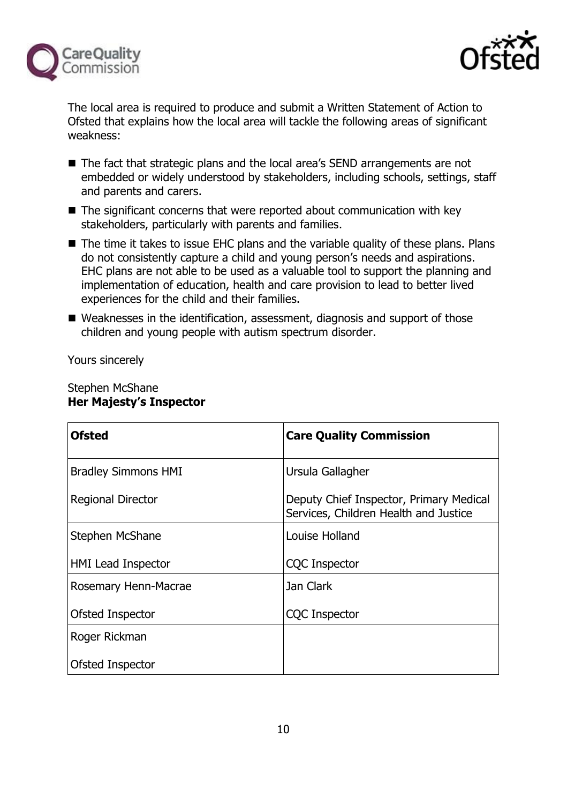



The local area is required to produce and submit a Written Statement of Action to Ofsted that explains how the local area will tackle the following areas of significant weakness:

- The fact that strategic plans and the local area's SEND arrangements are not embedded or widely understood by stakeholders, including schools, settings, staff and parents and carers.
- $\blacksquare$  The significant concerns that were reported about communication with key stakeholders, particularly with parents and families.
- The time it takes to issue EHC plans and the variable quality of these plans. Plans do not consistently capture a child and young person's needs and aspirations. EHC plans are not able to be used as a valuable tool to support the planning and implementation of education, health and care provision to lead to better lived experiences for the child and their families.
- Weaknesses in the identification, assessment, diagnosis and support of those children and young people with autism spectrum disorder.

Yours sincerely

#### Stephen McShane **Her Majesty's Inspector**

| <b>Ofsted</b>              | <b>Care Quality Commission</b>                                                   |
|----------------------------|----------------------------------------------------------------------------------|
| <b>Bradley Simmons HMI</b> | Ursula Gallagher                                                                 |
| <b>Regional Director</b>   | Deputy Chief Inspector, Primary Medical<br>Services, Children Health and Justice |
| Stephen McShane            | Louise Holland                                                                   |
| <b>HMI Lead Inspector</b>  | <b>CQC</b> Inspector                                                             |
| Rosemary Henn-Macrae       | Jan Clark                                                                        |
| Ofsted Inspector           | <b>CQC Inspector</b>                                                             |
| Roger Rickman              |                                                                                  |
| Ofsted Inspector           |                                                                                  |